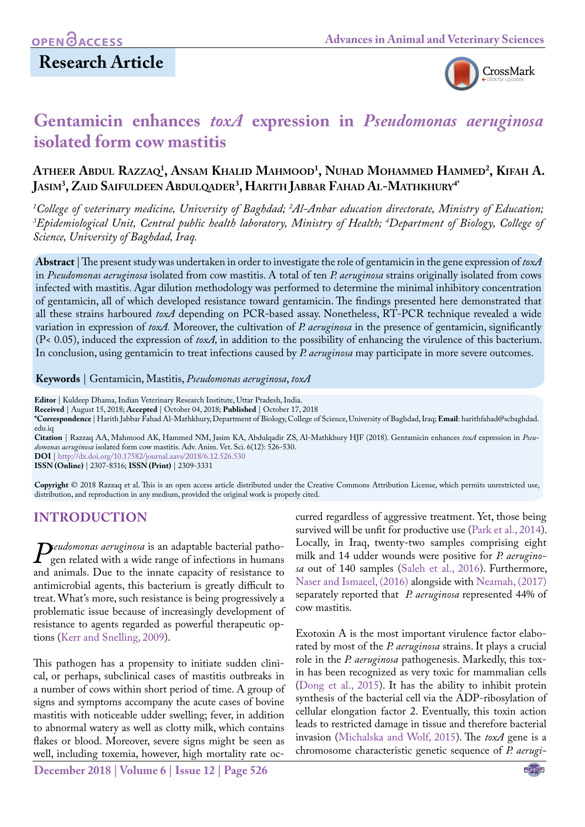# **Research Article**



# **Gentamicin enhances** *toxA* **expression in** *Pseudomonas aeruginosa*  **isolated form cow mastitis**

## **Atheer Abdul Razzaq1 , Ansam Khalid Mahmood1 , Nuhad Mohammed Hammed2 , Kifah A. Jasim3 , Zaid Saifuldeen Abdulqader3 , Harith Jabbar Fahad Al-Mathkhury4\***

<sup>1</sup>College of veterinary medicine, University of Baghdad; <sup>2</sup>Al–Anbar education directorate, Ministry of Education; *3 Epidemiological Unit, Central public health laboratory, Ministry of Health; 4 Department of Biology, College of Science, University of Baghdad, Iraq.*

**Abstract** | The present study was undertaken in order to investigate the role of gentamicin in the gene expression of *toxA* in *Pseudomonas aeruginosa* isolated from cow mastitis. A total of ten *P. aeruginosa* strains originally isolated from cows infected with mastitis. Agar dilution methodology was performed to determine the minimal inhibitory concentration of gentamicin, all of which developed resistance toward gentamicin. The findings presented here demonstrated that all these strains harboured *toxA* depending on PCR-based assay. Nonetheless, RT-PCR technique revealed a wide variation in expression of *toxA.* Moreover, the cultivation of *P. aeruginosa* in the presence of gentamicin, significantly (P< 0.05), induced the expression of *toxA,* in addition to the possibility of enhancing the virulence of this bacterium. In conclusion, using gentamicin to treat infections caused by *P. aeruginosa* may participate in more severe outcomes.

#### **Keywords** | Gentamicin, Mastitis, *Pseudomonas aeruginosa*, *toxA*

**Editor** | Kuldeep Dhama, Indian Veterinary Research Institute, Uttar Pradesh, India.

**Received** | August 15, 2018; **Accepted** | October 04, 2018; **Published** | October 17, 2018

**\*Correspondence** | Harith Jabbar Fahad Al-Mathkhury, Department of Biology, College of Science, University of Baghdad, Iraq; **Email**: harithfahad@scbaghdad. edu.iq

**Citation** | Razzaq AA, Mahmood AK, Hammed NM, Jasim KA, Abdulqadir ZS, Al-Mathkhury HJF (2018). Gentamicin enhances *toxA* expression in *Pseudomonas aeruginosa* isolated form cow mastitis. Adv. Anim. Vet. Sci. 6(12): 526-530.

**DOI** | [http://dx.doi.org/10.17582/journal.aavs/2018/6.12.](http://dx.doi.org/10.17582/journal.aavs/2018/6.12.526.530)526.530 **ISSN (Online)** | 2307-8316; **ISSN (Print)** | 2309-3331

**Copyright** © 2018 Razzaq et al. This is an open access article distributed under the Creative Commons Attribution License, which permits unrestricted use, distribution, and reproduction in any medium, provided the original work is properly cited.

## **Introduction**

*Peudomonas aeruginosa* is an adaptable bacterial patho-<br>gen related with a wide range of infections in humans<br>and animals. Due to the innate capacity of resistance to gen related with a wide range of infections in humans and animals. Due to the innate capacity of resistance to antimicrobial agents, this bacterium is greatly difficult to treat. What's more, such resistance is being progressively a problematic issue because of increasingly development of resistance to agents regarded as powerful therapeutic options (Kerr and Snelling, 2009).

This pathogen has a propensity to initiate sudden clinical, or perhaps, subclinical cases of mastitis outbreaks in a number of cows within short period of time. A group of signs and symptoms accompany the acute cases of bovine mastitis with noticeable udder swelling; fever, in addition to abnormal watery as well as clotty milk, which contains flakes or blood. Moreover, severe signs might be seen as well, including toxemia, however, high mortality rate oc-

**December 2018 | Volume 6 | Issue 12 | Page 526**

curred regardless of aggressive treatment. Yet, those being survived will be unfit for productive use [\(Park et al., 2014\)](#page-3-0). Locally, in Iraq, twenty-two samples comprising eight milk and 14 udder wounds were positive for *P. aeruginosa* out of 140 samples ([Saleh et al., 2016](#page-4-0)). Furthermore, [Naser and Ismaeel, \(2016\)](#page-3-1) alongside with [Neamah, \(2017\)](#page-3-2) separately reported that *P. aeruginosa* represented 44% of cow mastitis.

Exotoxin A is the most important virulence factor elaborated by most of the *P. aeruginosa* strains. It plays a crucial role in the *P. aeruginosa* pathogenesis. Markedly, this toxin has been recognized as very toxic for mammalian cells [\(Dong et al., 2015\)](#page-3-3). It has the ability to inhibit protein synthesis of the bacterial cell via the ADP-ribosylation of cellular elongation factor 2. Eventually, this toxin action leads to restricted damage in tissue and therefore bacterial invasion ([Michalska and Wolf, 2015](#page-3-4)). The *toxA* gene is a chromosome characteristic genetic sequence of *P. aerugi-*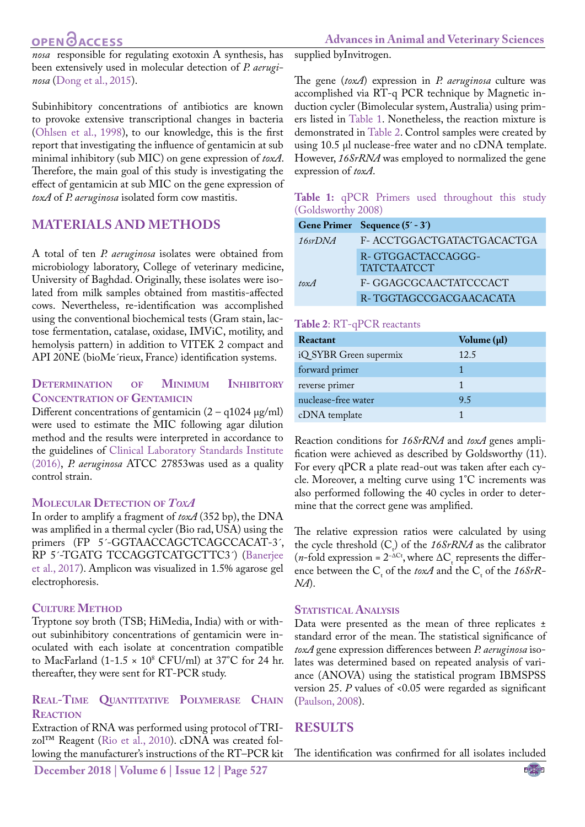*nosa* responsible for regulating exotoxin A synthesis, has been extensively used in molecular detection of *P. aeruginosa* [\(Dong et al., 2015\)](#page-3-3).

Subinhibitory concentrations of antibiotics are known to provoke extensive transcriptional changes in bacteria [\(Ohlsen et al., 1998](#page-3-5)), to our knowledge, this is the first report that investigating the influence of gentamicin at sub minimal inhibitory (sub MIC) on gene expression of *toxA*. Therefore, the main goal of this study is investigating the effect of gentamicin at sub MIC on the gene expression of *toxA* of *P. aeruginosa* isolated form cow mastitis.

### **Materials and Methods**

A total of ten *P. aeruginosa* isolates were obtained from microbiology laboratory, College of veterinary medicine, University of Baghdad. Originally, these isolates were isolated from milk samples obtained from mastitis-affected cows. Nevertheless, re-identification was accomplished using the conventional biochemical tests (Gram stain, lactose fermentation, catalase, oxidase, IMViC, motility, and hemolysis pattern) in addition to VITEK 2 compact and API 20NE (bioMe´rieux, France) identification systems.

#### **Determination of Minimum Inhibitory Concentration of Gentamicin**

Different concentrations of gentamicin  $(2 - q1024 \text{ µg/ml})$ were used to estimate the MIC following agar dilution method and the results were interpreted in accordance to the guidelines of [Clinical Laboratory Standards Institute](#page-3-6) [\(2016\),](#page-3-6) *P. aeruginosa* ATCC 27853was used as a quality control strain.

#### **Molecular Detection of** *ToxA*

In order to amplify a fragment of *toxA* (352 bp), the DNA was amplified in a thermal cycler (Bio rad, USA) using the primers (FP 5<sup>'</sup>-GGTAACCAGCTCAGCCACAT-3<sup>'</sup>, RP 5´-TGATG TCCAGGTCATGCTTC3´) [\(Banerjee](#page-3-7) [et al., 2017](#page-3-7)). Amplicon was visualized in 1.5% agarose gel electrophoresis.

#### **Culture Method**

Tryptone soy broth (TSB; HiMedia, India) with or without subinhibitory concentrations of gentamicin were inoculated with each isolate at concentration compatible to MacFarland  $(1-1.5 \times 10^{8} \text{ CFU/ml})$  at 37°C for 24 hr. thereafter, they were sent for RT-PCR study.

#### **Real-Time Quantitative Polymerase Chain Reaction**

Extraction of RNA was performed using protocol of TRIzol™ Reagent [\(Rio et al., 2010](#page-3-8)). cDNA was created following the manufacturer's instructions of the RT–PCR kit

**December 2018 | Volume 6 | Issue 12 | Page 527**

supplied byInvitrogen.

The gene (*toxA*) expression in *P. aeruginosa* culture was accomplished via RT-q PCR technique by Magnetic induction cycler (Bimolecular system, Australia) using primers listed in [Table 1.](#page-1-0) Nonetheless, the reaction mixture is demonstrated in [Table 2](#page-1-1). Control samples were created by using 10.5 µl nuclease-free water and no cDNA template. However, *16SrRNA* was employed to normalized the gene expression of *toxA*.

#### <span id="page-1-0"></span>**Table 1:** qPCR Primers used throughout this study (Goldsworthy 2008)

|         | Gene Primer Sequence (5' - 3')          |
|---------|-----------------------------------------|
| 16srDNA | F- ACCTGGACTGATACTGACACTGA              |
|         | R-GTGGACTACCAGGG-<br><b>TATCTAATCCT</b> |
| tox $A$ | F- GGAGCGCAACTATCCCACT                  |
|         | R-TGGTAGCCGACGAACACATA                  |

#### <span id="page-1-1"></span>**Table 2**: RT-qPCR reactants

| Reactant               | Volume (µl) |
|------------------------|-------------|
| iQ SYBR Green supermix | 12.5        |
| forward primer         |             |
| reverse primer         |             |
| nuclease-free water    | 9.5         |
| cDNA template          |             |

Reaction conditions for *16SrRNA* and *toxA* genes amplification were achieved as described by Goldsworthy (11). For every qPCR a plate read-out was taken after each cycle. Moreover, a melting curve using 1°C increments was also performed following the 40 cycles in order to determine that the correct gene was amplified.

The relative expression ratios were calculated by using the cycle threshold  $(C_t)$  of the *16SrRNA* as the calibrator  $(n$ -fold expression =  $2^{-\Delta C_t}$ , where  $\Delta C_t$  represents the difference between the  $C_t$  of the *toxA* and the  $C_t$  of the 16SrR-*NA*).

#### **STATISTICAL ANALYSIS**

Data were presented as the mean of three replicates ± standard error of the mean. The statistical significance of *toxA* gene expression differences between *P. aeruginosa* isolates was determined based on repeated analysis of variance (ANOVA) using the statistical program IBMSPSS version 25. *P* values of <0.05 were regarded as significant [\(Paulson, 2008\)](#page-3-9).

## **Results**

The identification was confirmed for all isolates included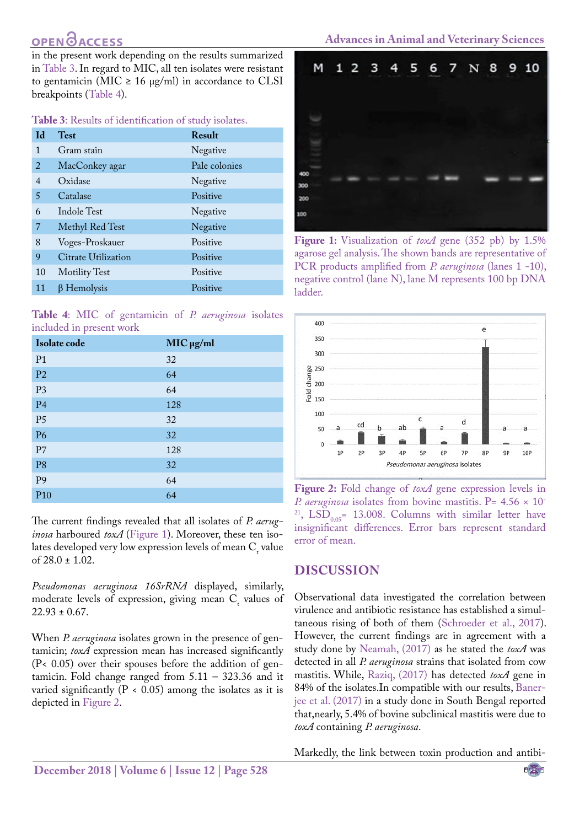in the present work depending on the results summarized in [Table 3](#page-2-0). In regard to MIC, all ten isolates were resistant to gentamicin (MIC  $\geq$  16 µg/ml) in accordance to CLSI breakpoints [\(Table 4](#page-2-1)).

<span id="page-2-0"></span>**Table 3**: Results of identification of study isolates.

| <b>Id</b>      | <b>Test</b>          | Result        |
|----------------|----------------------|---------------|
| 1              | Gram stain           | Negative      |
| 2              | MacConkey agar       | Pale colonies |
| $\overline{4}$ | Oxidase              | Negative      |
| 5              | Catalase             | Positive      |
| 6              | Indole Test          | Negative      |
| 7              | Methyl Red Test      | Negative      |
| 8              | Voges-Proskauer      | Positive      |
| 9              | Citrate Utilization  | Positive      |
| 10             | <b>Motility Test</b> | Positive      |
| 11             | $\beta$ Hemolysis    | Positive      |

<span id="page-2-1"></span>**Table 4**: MIC of gentamicin of *P. aeruginosa* isolates included in present work

| Isolate code    | $MIC$ $\mu$ g/ml |
|-----------------|------------------|
| P <sub>1</sub>  | 32               |
| P <sub>2</sub>  | 64               |
| P <sub>3</sub>  | 64               |
| P <sub>4</sub>  | 128              |
| P <sub>5</sub>  | 32               |
| <b>P6</b>       | 32               |
| P7              | 128              |
| P <sub>8</sub>  | 32               |
| P <sub>9</sub>  | 64               |
| P <sub>10</sub> | 64               |

The current findings revealed that all isolates of *P. aeruginosa* harboured *toxA* [\(Figure 1](#page-2-2)). Moreover, these ten isolates developed very low expression levels of mean  $C_t$  value of 28.0 ± 1.02.

*Pseudomonas aeruginosa 16SrRNA* displayed, similarly, moderate levels of expression, giving mean  $C_t$  values of  $22.93 \pm 0.67$ .

When *P. aeruginosa* isolates grown in the presence of gentamicin; *toxA* expression mean has increased significantly (P< 0.05) over their spouses before the addition of gentamicin. Fold change ranged from  $5.11 - 323.36$  and it varied significantly ( $P < 0.05$ ) among the isolates as it is depicted in [Figure 2](#page-2-3).



**Figure 1:** Visualization of *toxA* gene (352 pb) by 1.5% agarose gel analysis. The shown bands are representative of PCR products amplified from *P. aeruginosa* (lanes 1 -10), negative control (lane N), lane M represents 100 bp DNA ladder.

<span id="page-2-2"></span>

<span id="page-2-3"></span>**Figure 2:** Fold change of *toxA* gene expression levels in *P. aeruginosa* isolates from bovine mastitis. P= 4.56  $\times$  10<sup>-</sup> <sup>21</sup>, LSD<sub>0.05</sub> = 13.008. Columns with similar letter have insignificant differences. Error bars represent standard error of mean.

### **Discussion**

Observational data investigated the correlation between virulence and antibiotic resistance has established a simultaneous rising of both of them ([Schroeder et al., 2017\)](#page-4-1). However, the current findings are in agreement with a study done by [Neamah, \(2017\)](#page-3-2) as he stated the *toxA* was detected in all *P. aeruginosa* strains that isolated from cow mastitis. While, [Raziq, \(2017\)](#page-3-10) has detected *toxA* gene in 84% of the isolates.In compatible with our results, [Baner](#page-3-7)[jee et al. \(2017\)](#page-3-7) in a study done in South Bengal reported that,nearly, 5.4% of bovine subclinical mastitis were due to *toxA* containing *P. aeruginosa*.

Markedly, the link between toxin production and antibi-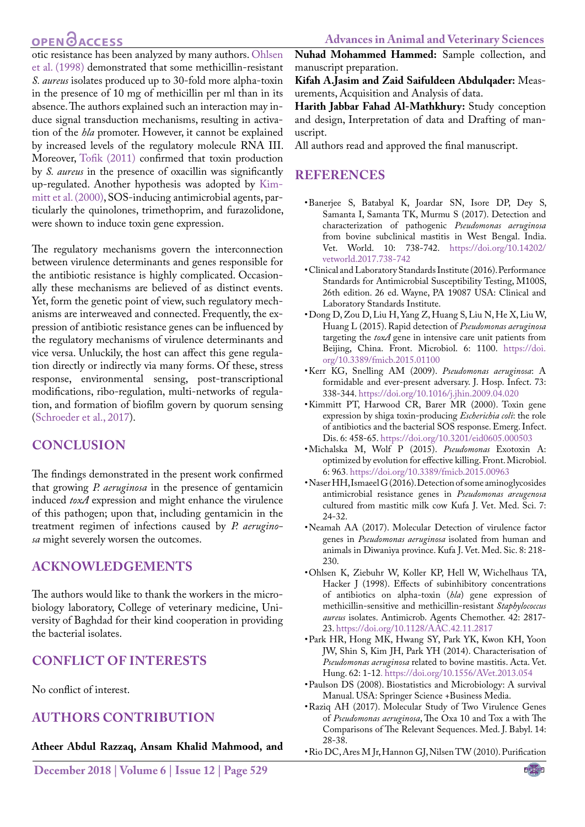otic resistance has been analyzed by many authors. [Ohlsen](#page-3-5) [et al. \(1998\) d](#page-3-5)emonstrated that some methicillin-resistant *S. aureus* isolates produced up to 30-fold more alpha-toxin in the presence of 10 mg of methicillin per ml than in its absence. The authors explained such an interaction may induce signal transduction mechanisms, resulting in activation of the *hla* promoter. However, it cannot be explained by increased levels of the regulatory molecule RNA III. Moreover, [Tofik \(2011\)](#page-4-2) confirmed that toxin production by *S. aureus* in the presence of oxacillin was significantly up-regulated. Another hypothesis was adopted by [Kim](#page-3-11)[mitt et al. \(2000\)](#page-3-11), SOS-inducing antimicrobial agents, particularly the quinolones, trimethoprim, and furazolidone, were shown to induce toxin gene expression.

The regulatory mechanisms govern the interconnection between virulence determinants and genes responsible for the antibiotic resistance is highly complicated. Occasionally these mechanisms are believed of as distinct events. Yet, form the genetic point of view, such regulatory mechanisms are interweaved and connected. Frequently, the expression of antibiotic resistance genes can be influenced by the regulatory mechanisms of virulence determinants and vice versa. Unluckily, the host can affect this gene regulation directly or indirectly via many forms. Of these, stress response, environmental sensing, post-transcriptional modifications, ribo-regulation, multi-networks of regulation, and formation of biofilm govern by quorum sensing [\(Schroeder et al., 2017\)](#page-4-1).

## **Conclusion**

The findings demonstrated in the present work confirmed that growing *P. aeruginosa* in the presence of gentamicin induced *toxA* expression and might enhance the virulence of this pathogen; upon that, including gentamicin in the treatment regimen of infections caused by *P. aeruginosa* might severely worsen the outcomes.

### **Acknowledgements**

The authors would like to thank the workers in the microbiology laboratory, College of veterinary medicine, University of Baghdad for their kind cooperation in providing the bacterial isolates.

## **Conflict of interests**

No conflict of interest.

## **Authors contribution**

#### **Atheer Abdul Razzaq, Ansam Khalid Mahmood, and**

**Nuhad Mohammed Hammed:** Sample collection, and manuscript preparation.

**Kifah A.Jasim and Zaid Saifuldeen Abdulqader:** Measurements, Acquisition and Analysis of data.

**Harith Jabbar Fahad Al-Mathkhury:** Study conception and design, Interpretation of data and Drafting of manuscript.

All authors read and approved the final manuscript.

### **References**

- <span id="page-3-7"></span>• Banerjee S, Batabyal K, Joardar SN, Isore DP, Dey S, Samanta I, Samanta TK, Murmu S (2017). Detection and characterization of pathogenic *Pseudomonas aeruginosa* from bovine subclinical mastitis in West Bengal. India. Vet. World. 10: 738-742. [https://doi.org/10.14202/](https://doi.org/10.14202/vetworld.2017.738-742 ) [vetworld.2017.738-742](https://doi.org/10.14202/vetworld.2017.738-742 )
- <span id="page-3-6"></span>• Clinical and Laboratory Standards Institute (2016). Performance Standards for Antimicrobial Susceptibility Testing, M100S, 26th edition. 26 ed. Wayne, PA 19087 USA: Clinical and Laboratory Standards Institute.
- <span id="page-3-3"></span>• Dong D, Zou D, Liu H, Yang Z, Huang S, Liu N, He X, Liu W, Huang L (2015). Rapid detection of *Pseudomonas aeruginosa* targeting the *toxA* gene in intensive care unit patients from Beijing, China. Front. Microbiol. 6: 1100. [https://doi.](https://doi.org/10.3389/fmicb.2015.01100 ) [org/10.3389/fmicb.2015.01100](https://doi.org/10.3389/fmicb.2015.01100 )
- • Kerr KG, Snelling AM (2009). *Pseudomonas aeruginosa*: A formidable and ever‐present adversary. J. Hosp. Infect. 73: 338-344[. https://doi.org/10.1016/j.jhin.2009.04.020]( https://doi.org/10.1016/j.jhin.2009.04.020 )
- <span id="page-3-11"></span>• Kimmitt PT, Harwood CR, Barer MR (2000). Toxin gene expression by shiga toxin-producing *Escherichia coli*: the role of antibiotics and the bacterial SOS response. Emerg. Infect. Dis. 6: 458-65. [https://doi.org/10.3201/eid0605.000503](https://doi.org/10.3201/eid0605.000503 )
- <span id="page-3-4"></span>• Michalska M, Wolf P (2015). *Pseudomonas* Exotoxin A: optimized by evolution for effective killing. Front. Microbiol. 6: 96[3. https://doi.org/10.3389/fmicb.2015.00963](. https://doi.org/10.3389/fmicb.2015.00963 )
- <span id="page-3-1"></span>• Naser HH, Ismaeel G (2016). Detection of some aminoglycosides antimicrobial resistance genes in *Pseudomonas areugenosa*  cultured from mastitic milk cow Kufa J. Vet. Med. Sci. 7: 24-32.
- <span id="page-3-2"></span>• Neamah AA (2017). Molecular Detection of virulence factor genes in *Pseudomonas aeruginosa* isolated from human and animals in Diwaniya province. Kufa J. Vet. Med. Sic. 8: 218- 230.
- <span id="page-3-5"></span>• Ohlsen K, Ziebuhr W, Koller KP, Hell W, Wichelhaus TA, Hacker J (1998). Effects of subinhibitory concentrations of antibiotics on alpha-toxin (*hla*) gene expression of methicillin-sensitive and methicillin-resistant *Staphylococcus aureus* isolates. Antimicrob. Agents Chemother. 42: 2817- 23. [https://doi.org/10.1128/AAC.42.11.2817](https://doi.org/10.1128/AAC.42.11.2817 )
- <span id="page-3-0"></span>• Park HR, Hong MK, Hwang SY, Park YK, Kwon KH, Yoon JW, Shin S, Kim JH, Park YH (2014). Characterisation of *Pseudomonas aeruginosa* related to bovine mastitis. Acta. Vet. Hung. 62: 1-1[2. https://doi.org/10.1556/AVet.2013.054](. https://doi.org/10.1556/AVet.2013.054 )
- <span id="page-3-9"></span>• Paulson DS (2008). Biostatistics and Microbiology: A survival Manual. USA: Springer Science +Business Media.
- <span id="page-3-10"></span>• Raziq AH (2017). Molecular Study of Two Virulence Genes of *Pseudomonas aeruginosa*, The Oxa 10 and Tox a with The Comparisons of The Relevant Sequences. Med. J. Babyl. 14: 28-38.
- <span id="page-3-8"></span>• Rio DC, Ares M Jr, Hannon GJ, Nilsen TW (2010). Purification